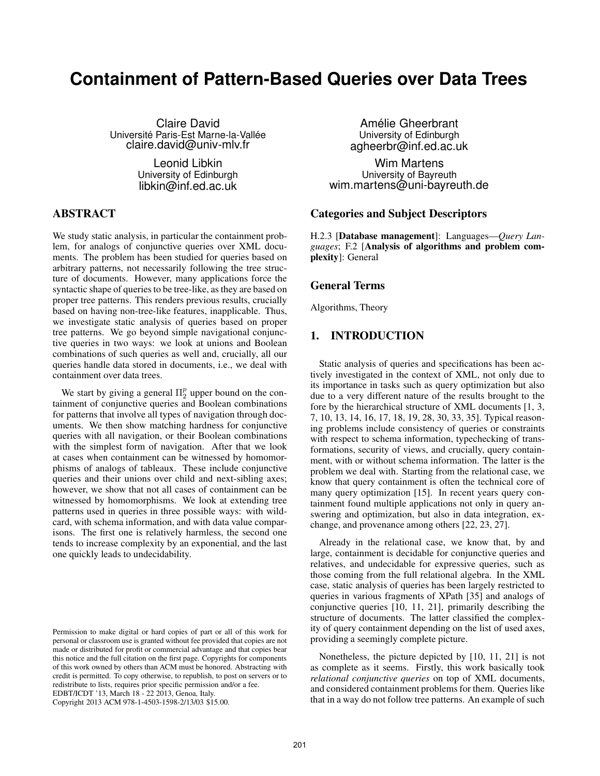# **Containment of Pattern-Based Queries over Data Trees**

Claire David Université Paris-Est Marne-la-Vallée claire.david@univ-mlv.fr

> Leonid Libkin University of Edinburgh libkin@inf.ed.ac.uk

#### ABSTRACT

We study static analysis, in particular the containment problem, for analogs of conjunctive queries over XML documents. The problem has been studied for queries based on arbitrary patterns, not necessarily following the tree structure of documents. However, many applications force the syntactic shape of queries to be tree-like, as they are based on proper tree patterns. This renders previous results, crucially based on having non-tree-like features, inapplicable. Thus, we investigate static analysis of queries based on proper tree patterns. We go beyond simple navigational conjunctive queries in two ways: we look at unions and Boolean combinations of such queries as well and, crucially, all our queries handle data stored in documents, i.e., we deal with containment over data trees.

We start by giving a general  $\Pi_2^p$  upper bound on the containment of conjunctive queries and Boolean combinations for patterns that involve all types of navigation through documents. We then show matching hardness for conjunctive queries with all navigation, or their Boolean combinations with the simplest form of navigation. After that we look at cases when containment can be witnessed by homomorphisms of analogs of tableaux. These include conjunctive queries and their unions over child and next-sibling axes; however, we show that not all cases of containment can be witnessed by homomorphisms. We look at extending tree patterns used in queries in three possible ways: with wildcard, with schema information, and with data value comparisons. The first one is relatively harmless, the second one tends to increase complexity by an exponential, and the last one quickly leads to undecidability.

Copyright 2013 ACM 978-1-4503-1598-2/13/03 \$15.00.

Amélie Gheerbrant University of Edinburgh agheerbr@inf.ed.ac.uk

Wim Martens University of Bayreuth wim.martens@uni-bayreuth.de

#### Categories and Subject Descriptors

H.2.3 [Database management]: Languages—*Query Languages*; F.2 [Analysis of algorithms and problem complexity]: General

## General Terms

Algorithms, Theory

## 1. INTRODUCTION

Static analysis of queries and specifications has been actively investigated in the context of XML, not only due to its importance in tasks such as query optimization but also due to a very different nature of the results brought to the fore by the hierarchical structure of XML documents [1, 3, 7, 10, 13, 14, 16, 17, 18, 19, 28, 30, 33, 35]. Typical reasoning problems include consistency of queries or constraints with respect to schema information, typechecking of transformations, security of views, and crucially, query containment, with or without schema information. The latter is the problem we deal with. Starting from the relational case, we know that query containment is often the technical core of many query optimization [15]. In recent years query containment found multiple applications not only in query answering and optimization, but also in data integration, exchange, and provenance among others [22, 23, 27].

Already in the relational case, we know that, by and large, containment is decidable for conjunctive queries and relatives, and undecidable for expressive queries, such as those coming from the full relational algebra. In the XML case, static analysis of queries has been largely restricted to queries in various fragments of XPath [35] and analogs of conjunctive queries [10, 11, 21], primarily describing the structure of documents. The latter classified the complexity of query containment depending on the list of used axes, providing a seemingly complete picture.

Nonetheless, the picture depicted by [10, 11, 21] is not as complete as it seems. Firstly, this work basically took *relational conjunctive queries* on top of XML documents, and considered containment problems for them. Queries like that in a way do not follow tree patterns. An example of such

Permission to make digital or hard copies of part or all of this work for personal or classroom use is granted without fee provided that copies are not made or distributed for profit or commercial advantage and that copies bear this notice and the full citation on the first page. Copyrights for components of this work owned by others than ACM must be honored. Abstracting with credit is permitted. To copy otherwise, to republish, to post on servers or to redistribute to lists, requires prior specific permission and/or a fee. EDBT/ICDT '13, March 18 - 22 2013, Genoa, Italy.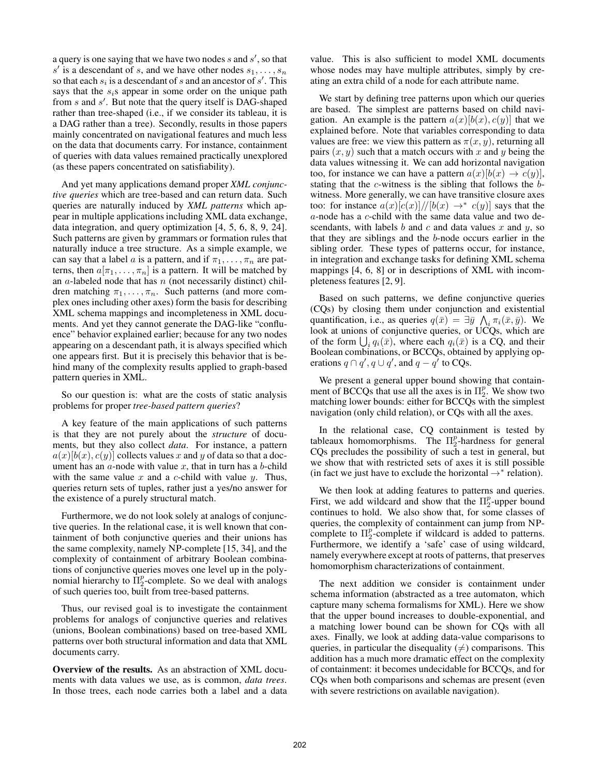a query is one saying that we have two nodes  $s$  and  $s'$ , so that  $s'$  is a descendant of s, and we have other nodes  $s_1, \ldots, s_n$ so that each  $s_i$  is a descendant of s and an ancestor of s'. This says that the  $s_i$ s appear in some order on the unique path from  $s$  and  $s'$ . But note that the query itself is DAG-shaped rather than tree-shaped (i.e., if we consider its tableau, it is a DAG rather than a tree). Secondly, results in those papers mainly concentrated on navigational features and much less on the data that documents carry. For instance, containment of queries with data values remained practically unexplored (as these papers concentrated on satisfiability).

And yet many applications demand proper *XML conjunctive queries* which are tree-based and can return data. Such queries are naturally induced by *XML patterns* which appear in multiple applications including XML data exchange, data integration, and query optimization [4, 5, 6, 8, 9, 24]. Such patterns are given by grammars or formation rules that naturally induce a tree structure. As a simple example, we can say that a label a is a pattern, and if  $\pi_1, \ldots, \pi_n$  are patterns, then  $a[\pi_1, \ldots, \pi_n]$  is a pattern. It will be matched by an  $a$ -labeled node that has  $n$  (not necessarily distinct) children matching  $\pi_1, \ldots, \pi_n$ . Such patterns (and more complex ones including other axes) form the basis for describing XML schema mappings and incompleteness in XML documents. And yet they cannot generate the DAG-like "confluence" behavior explained earlier; because for any two nodes appearing on a descendant path, it is always specified which one appears first. But it is precisely this behavior that is behind many of the complexity results applied to graph-based pattern queries in XML.

So our question is: what are the costs of static analysis problems for proper *tree-based pattern queries*?

A key feature of the main applications of such patterns is that they are not purely about the *structure* of documents, but they also collect *data*. For instance, a pattern  $a(x)[b(x), c(y)]$  collects values x and y of data so that a document has an  $a$ -node with value  $x$ , that in turn has a b-child with the same value x and a c-child with value y. Thus, queries return sets of tuples, rather just a yes/no answer for the existence of a purely structural match.

Furthermore, we do not look solely at analogs of conjunctive queries. In the relational case, it is well known that containment of both conjunctive queries and their unions has the same complexity, namely NP-complete [15, 34], and the complexity of containment of arbitrary Boolean combinations of conjunctive queries moves one level up in the polynomial hierarchy to  $\Pi_2^p$ -complete. So we deal with analogs of such queries too, built from tree-based patterns.

Thus, our revised goal is to investigate the containment problems for analogs of conjunctive queries and relatives (unions, Boolean combinations) based on tree-based XML patterns over both structural information and data that XML documents carry.

Overview of the results. As an abstraction of XML documents with data values we use, as is common, *data trees*. In those trees, each node carries both a label and a data value. This is also sufficient to model XML documents whose nodes may have multiple attributes, simply by creating an extra child of a node for each attribute name.

We start by defining tree patterns upon which our queries are based. The simplest are patterns based on child navigation. An example is the pattern  $a(x)[b(x), c(y)]$  that we explained before. Note that variables corresponding to data values are free: we view this pattern as  $\pi(x, y)$ , returning all pairs  $(x, y)$  such that a match occurs with x and y being the data values witnessing it. We can add horizontal navigation too, for instance we can have a pattern  $a(x)[b(x) \rightarrow c(y)],$ stating that the c-witness is the sibling that follows the bwitness. More generally, we can have transitive closure axes too: for instance  $a(x)[c(x)]/[(b(x) \rightarrow^* c(y)]$  says that the a-node has a c-child with the same data value and two descendants, with labels b and c and data values x and y, so that they are siblings and the b-node occurs earlier in the sibling order. These types of patterns occur, for instance, in integration and exchange tasks for defining XML schema mappings [4, 6, 8] or in descriptions of XML with incompleteness features [2, 9].

Based on such patterns, we define conjunctive queries (CQs) by closing them under conjunction and existential quantification, i.e., as queries  $q(\bar{x}) = \exists \bar{y} \bigwedge_i \pi_i(\bar{x}, \bar{y})$ . We look at unions of conjunctive queries, or UCQs, which are of the form  $\bigcup_i q_i(\bar{x})$ , where each  $q_i(\bar{x})$  is a CQ, and their Boolean combinations, or BCCQs, obtained by applying operations  $q \cap q'$ ,  $q \cup q'$ , and  $q - q'$  to CQs.

We present a general upper bound showing that containment of BCCQs that use all the axes is in  $\Pi_2^p$ . We show two matching lower bounds: either for BCCQs with the simplest navigation (only child relation), or CQs with all the axes.

In the relational case, CQ containment is tested by tableaux homomorphisms. The  $\Pi_2^p$ -hardness for general CQs precludes the possibility of such a test in general, but we show that with restricted sets of axes it is still possible (in fact we just have to exclude the horizontal  $\rightarrow^*$  relation).

We then look at adding features to patterns and queries. First, we add wildcard and show that the  $\Pi_2^p$ -upper bound continues to hold. We also show that, for some classes of queries, the complexity of containment can jump from NPcomplete to  $\Pi_2^p$ -complete if wildcard is added to patterns. Furthermore, we identify a 'safe' case of using wildcard, namely everywhere except at roots of patterns, that preserves homomorphism characterizations of containment.

The next addition we consider is containment under schema information (abstracted as a tree automaton, which capture many schema formalisms for XML). Here we show that the upper bound increases to double-exponential, and a matching lower bound can be shown for CQs with all axes. Finally, we look at adding data-value comparisons to queries, in particular the disequality  $(\neq)$  comparisons. This addition has a much more dramatic effect on the complexity of containment: it becomes undecidable for BCCQs, and for CQs when both comparisons and schemas are present (even with severe restrictions on available navigation).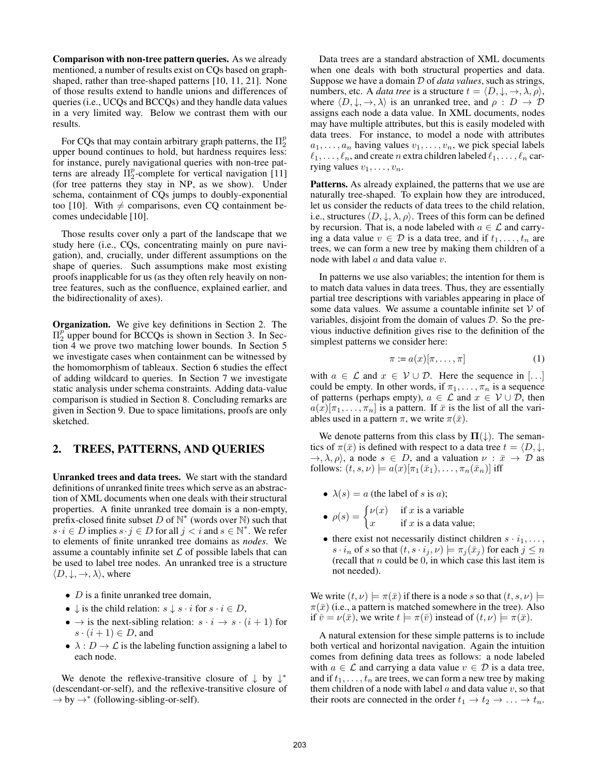Comparison with non-tree pattern queries. As we already mentioned, a number of results exist on CQs based on graphshaped, rather than tree-shaped patterns [10, 11, 21]. None of those results extend to handle unions and differences of queries (i.e., UCQs and BCCQs) and they handle data values in a very limited way. Below we contrast them with our results.

For CQs that may contain arbitrary graph patterns, the  $\Pi_2^p$ upper bound continues to hold, but hardness requires less: for instance, purely navigational queries with non-tree patterns are already  $\Pi_2^p$ -complete for vertical navigation [11] (for tree patterns they stay in NP, as we show). Under schema, containment of CQs jumps to doubly-exponential too [10]. With  $\neq$  comparisons, even CQ containment becomes undecidable [10].

Those results cover only a part of the landscape that we study here (i.e., CQs, concentrating mainly on pure navigation), and, crucially, under different assumptions on the shape of queries. Such assumptions make most existing proofs inapplicable for us (as they often rely heavily on nontree features, such as the confluence, explained earlier, and the bidirectionality of axes).

Organization. We give key definitions in Section 2. The  $\Pi_2^p$  upper bound for BCCQs is shown in Section 3. In Section 4 we prove two matching lower bounds. In Section 5 we investigate cases when containment can be witnessed by the homomorphism of tableaux. Section 6 studies the effect of adding wildcard to queries. In Section 7 we investigate static analysis under schema constraints. Adding data-value comparison is studied in Section 8. Concluding remarks are given in Section 9. Due to space limitations, proofs are only sketched.

#### 2. TREES, PATTERNS, AND QUERIES

Unranked trees and data trees. We start with the standard definitions of unranked finite trees which serve as an abstraction of XML documents when one deals with their structural properties. A finite unranked tree domain is a non-empty, prefix-closed finite subset D of  $\mathbb{N}^*$  (words over  $\mathbb N$ ) such that  $s \cdot i \in D$  implies  $s \cdot j \in D$  for all  $j < i$  and  $s \in \mathbb{N}^*$ . We refer to elements of finite unranked tree domains as *nodes*. We assume a countably infinite set  $\mathcal L$  of possible labels that can be used to label tree nodes. An unranked tree is a structure  $\langle D, \downarrow, \rightarrow, \lambda \rangle$ , where

- $D$  is a finite unranked tree domain,
- $\downarrow$  is the child relation:  $s \downarrow s \cdot i$  for  $s \cdot i \in D$ ,
- $\rightarrow$  is the next-sibling relation:  $s \cdot i \rightarrow s \cdot (i + 1)$  for  $s \cdot (i+1) \in D$ , and
- $\lambda : D \to \mathcal{L}$  is the labeling function assigning a label to each node.

We denote the reflexive-transitive closure of  $\downarrow$  by  $\downarrow^*$ (descendant-or-self), and the reflexive-transitive closure of  $\rightarrow$  by  $\rightarrow^*$  (following-sibling-or-self).

Data trees are a standard abstraction of XML documents when one deals with both structural properties and data. Suppose we have a domain D of *data values*, such as strings, numbers, etc. A *data tree* is a structure  $t = \langle D, \downarrow, \rightarrow, \lambda, \rho \rangle$ , where  $\langle D, \downarrow, \to, \lambda \rangle$  is an unranked tree, and  $\rho : D \to D$ assigns each node a data value. In XML documents, nodes may have multiple attributes, but this is easily modeled with data trees. For instance, to model a node with attributes  $a_1, \ldots, a_n$  having values  $v_1, \ldots, v_n$ , we pick special labels  $\ell_1, \ldots, \ell_n$ , and create n extra children labeled  $\ell_1, \ldots, \ell_n$  carrying values  $v_1, \ldots, v_n$ .

Patterns. As already explained, the patterns that we use are naturally tree-shaped. To explain how they are introduced, let us consider the reducts of data trees to the child relation, i.e., structures  $\langle D, \downarrow, \lambda, \rho \rangle$ . Trees of this form can be defined by recursion. That is, a node labeled with  $a \in \mathcal{L}$  and carrying a data value  $v \in \mathcal{D}$  is a data tree, and if  $t_1, \ldots, t_n$  are trees, we can form a new tree by making them children of a node with label a and data value v.

In patterns we use also variables; the intention for them is to match data values in data trees. Thus, they are essentially partial tree descriptions with variables appearing in place of some data values. We assume a countable infinite set  $V$  of variables, disjoint from the domain of values  $D$ . So the previous inductive definition gives rise to the definition of the simplest patterns we consider here:

$$
\pi := a(x)[\pi, \dots, \pi]
$$
 (1)

with  $a \in \mathcal{L}$  and  $x \in \mathcal{V} \cup \mathcal{D}$ . Here the sequence in [...] could be empty. In other words, if  $\pi_1, \ldots, \pi_n$  is a sequence of patterns (perhaps empty),  $a \in \mathcal{L}$  and  $x \in \mathcal{V} \cup \mathcal{D}$ , then  $a(x)[\pi_1, \ldots, \pi_n]$  is a pattern. If  $\bar{x}$  is the list of all the variables used in a pattern  $\pi$ , we write  $\pi(\bar{x})$ .

We denote patterns from this class by  $\Pi(\downarrow)$ . The semantics of  $\pi(\bar{x})$  is defined with respect to a data tree  $t = \langle D, \downarrow, \rangle$  $\rightarrow$ ,  $\lambda$ ,  $\rho$ ), a node  $s \in D$ , and a valuation  $\nu : \bar{x} \to D$  as follows:  $(t, s, \nu) \models a(x)[\pi_1(\bar{x}_1), \ldots, \pi_n(\bar{x}_n)]$  iff

- $\lambda(s) = a$  (the label of s is a);
- $\rho(s) = \begin{cases} v(x) & \text{if } x \text{ is a variable} \\ v(x) & \text{if } x \text{ is a variable} \end{cases}$
- x if x is a data value;
- there exist not necessarily distinct children  $s \cdot i_1, \ldots,$  $s \cdot i_n$  of s so that  $(t, s \cdot i_j, \nu) \models \pi_j(\bar{x}_j)$  for each  $j \leq n$ (recall that  $n$  could be  $0$ , in which case this last item is not needed).

We write  $(t, \nu) \models \pi(\bar{x})$  if there is a node s so that  $(t, s, \nu) \models$  $\pi(\bar{x})$  (i.e., a pattern is matched somewhere in the tree). Also if  $\bar{v} = v(\bar{x})$ , we write  $t \models \pi(\bar{v})$  instead of  $(t, v) \models \pi(\bar{x})$ .

A natural extension for these simple patterns is to include both vertical and horizontal navigation. Again the intuition comes from defining data trees as follows: a node labeled with  $a \in \mathcal{L}$  and carrying a data value  $v \in \mathcal{D}$  is a data tree, and if  $t_1, \ldots, t_n$  are trees, we can form a new tree by making them children of a node with label  $a$  and data value  $v$ , so that their roots are connected in the order  $t_1 \rightarrow t_2 \rightarrow \ldots \rightarrow t_n$ .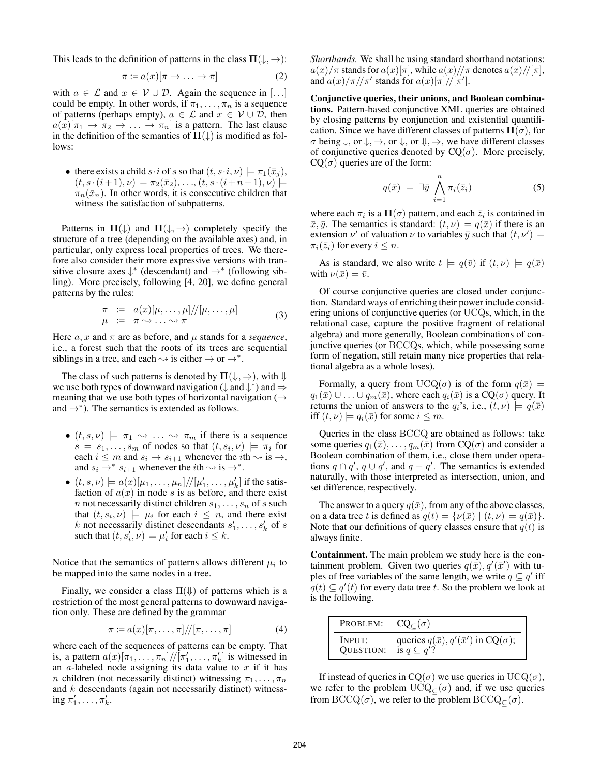This leads to the definition of patterns in the class  $\Pi(\downarrow, \rightarrow)$ :

$$
\pi := a(x)[\pi \to \dots \to \pi]
$$
 (2)

with  $a \in \mathcal{L}$  and  $x \in \mathcal{V} \cup \mathcal{D}$ . Again the sequence in [...] could be empty. In other words, if  $\pi_1, \ldots, \pi_n$  is a sequence of patterns (perhaps empty),  $a \in \mathcal{L}$  and  $x \in \mathcal{V} \cup \mathcal{D}$ , then  $a(x)[\pi_1 \to \pi_2 \to \ldots \to \pi_n]$  is a pattern. The last clause in the definition of the semantics of  $\Pi(\downarrow)$  is modified as follows:

• there exists a child  $s \cdot i$  of s so that  $(t, s \cdot i, \nu) \models \pi_1(\bar{x}_j)$ ,  $(t, s \cdot (i+1), \nu) \models \pi_2(\bar{x}_2), \ldots, (t, s \cdot (i+n-1), \nu) \models$  $\pi_n(\bar{x}_n)$ . In other words, it is consecutive children that witness the satisfaction of subpatterns.

Patterns in  $\Pi(\downarrow)$  and  $\Pi(\downarrow, \rightarrow)$  completely specify the structure of a tree (depending on the available axes) and, in particular, only express local properties of trees. We therefore also consider their more expressive versions with transitive closure axes  $\downarrow^*$  (descendant) and  $\rightarrow^*$  (following sibling). More precisely, following [4, 20], we define general patterns by the rules:

$$
\begin{array}{rcl}\n\pi & := & a(x)[\mu, \dots, \mu] // [\mu, \dots, \mu] \\
\mu & := & \pi \leadsto \dots \leadsto \pi\n\end{array} \tag{3}
$$

Here  $a, x$  and  $\pi$  are as before, and  $\mu$  stands for a *sequence*, i.e., a forest such that the roots of its trees are sequential siblings in a tree, and each  $\sim$  is either  $\rightarrow$  or  $\rightarrow^*$ .

The class of such patterns is denoted by  $\Pi(\Downarrow, \Rightarrow)$ , with  $\Downarrow$ we use both types of downward navigation ( $\downarrow$  and  $\downarrow^*$ ) and  $\Rightarrow$ meaning that we use both types of horizontal navigation  $(\rightarrow$ and  $\rightarrow^*$ ). The semantics is extended as follows.

- $(t, s, \nu)$   $\models \pi_1 \rightsquigarrow \ldots \rightsquigarrow \pi_m$  if there is a sequence  $s = s_1, \ldots, s_m$  of nodes so that  $(t, s_i, \nu) \models \pi_i$  for each  $i \leq m$  and  $s_i \to s_{i+1}$  whenever the *i*th  $\sim$  is  $\to$ , and  $s_i \rightarrow^* s_{i+1}$  whenever the *i*th  $\sim$  is  $\rightarrow^*$ .
- $(t, s, \nu) \models a(x)[\mu_1, \ldots, \mu_n] / / [\mu'_1, \ldots, \mu'_k]$  if the satisfaction of  $a(x)$  in node s is as before, and there exist n not necessarily distinct children  $s_1, \ldots, s_n$  of s such that  $(t, s_i, \nu) \models \mu_i$  for each  $i \leq n$ , and there exist k not necessarily distinct descendants  $s'_1, \ldots, s'_k$  of s such that  $(t, s'_i, \nu) \models \mu'_i$  for each  $i \leq k$ .

Notice that the semantics of patterns allows different  $\mu_i$  to be mapped into the same nodes in a tree.

Finally, we consider a class  $\Pi(\Downarrow)$  of patterns which is a restriction of the most general patterns to downward navigation only. These are defined by the grammar

$$
\pi := a(x)[\pi, \dots, \pi]/[\pi, \dots, \pi]
$$
 (4)

where each of the sequences of patterns can be empty. That is, a pattern  $a(x)[\pi_1, \ldots, \pi_n]/[\pi'_1, \ldots, \pi'_k]$  is witnessed in an  $a$ -labeled node assigning its data value to  $x$  if it has *n* children (not necessarily distinct) witnessing  $\pi_1, \ldots, \pi_n$ and  $k$  descendants (again not necessarily distinct) witnessing  $\pi'_1, \ldots, \pi'_k$ .

*Shorthands.* We shall be using standard shorthand notations:  $a(x)/\pi$  stands for  $a(x)[\pi]$ , while  $a(x)/\pi$  denotes  $a(x)/\pi$ , and  $a(x)/\pi/\pi'$  stands for  $a(x)[\pi]/[\pi'].$ 

Conjunctive queries, their unions, and Boolean combinations. Pattern-based conjunctive XML queries are obtained by closing patterns by conjunction and existential quantification. Since we have different classes of patterns  $\Pi(\sigma)$ , for  $\sigma$  being  $\downarrow$ , or  $\downarrow$ ,  $\rightarrow$ , or  $\downarrow$ , or  $\downarrow$ ,  $\rightarrow$ , we have different classes of conjunctive queries denoted by  $CQ(\sigma)$ . More precisely,  $CO(\sigma)$  queries are of the form:

$$
q(\bar{x}) = \exists \bar{y} \bigwedge_{i=1}^{n} \pi_i(\bar{z}_i)
$$
 (5)

where each  $\pi_i$  is a  $\Pi(\sigma)$  pattern, and each  $\bar{z}_i$  is contained in  $\bar{x}, \bar{y}$ . The semantics is standard:  $(t, \nu) \models q(\bar{x})$  if there is an extension  $\nu'$  of valuation  $\nu$  to variables  $\bar{y}$  such that  $(t, \nu')$   $\models$  $\pi_i(\bar{z}_i)$  for every  $i \leq n$ .

As is standard, we also write  $t \models q(\bar{v})$  if  $(t, \nu) \models q(\bar{x})$ with  $\nu(\bar{x}) = \bar{v}$ .

Of course conjunctive queries are closed under conjunction. Standard ways of enriching their power include considering unions of conjunctive queries (or UCQs, which, in the relational case, capture the positive fragment of relational algebra) and more generally, Boolean combinations of conjunctive queries (or BCCQs, which, while possessing some form of negation, still retain many nice properties that relational algebra as a whole loses).

Formally, a query from  $UCQ(\sigma)$  is of the form  $q(\bar{x}) =$  $q_1(\bar{x}) \cup \ldots \cup q_m(\bar{x})$ , where each  $q_i(\bar{x})$  is a  $CQ(\sigma)$  query. It returns the union of answers to the  $q_i$ 's, i.e.,  $(t, \nu) \models q(\bar{x})$ iff  $(t, \nu) \models q_i(\bar{x})$  for some  $i \leq m$ .

Queries in the class BCCQ are obtained as follows: take some queries  $q_1(\bar{x}), \ldots, q_m(\bar{x})$  from  $CQ(\sigma)$  and consider a Boolean combination of them, i.e., close them under operations  $q \cap q'$ ,  $q \cup q'$ , and  $q - q'$ . The semantics is extended naturally, with those interpreted as intersection, union, and set difference, respectively.

The answer to a query  $q(\bar{x})$ , from any of the above classes, on a data tree t is defined as  $q(t) = \{v(\bar{x}) | (t, v) \models q(\bar{x})\}.$ Note that our definitions of query classes ensure that  $q(t)$  is always finite.

Containment. The main problem we study here is the containment problem. Given two queries  $q(\bar{x}), q'(\bar{x}')$  with tuples of free variables of the same length, we write  $q \subseteq q'$  iff  $q(t) \subseteq q'(t)$  for every data tree t. So the problem we look at is the following.

| PROBLEM:                   | $CQ_{\subset}(\sigma)$                                                         |
|----------------------------|--------------------------------------------------------------------------------|
| INPUT:<br><b>OUESTION:</b> | queries $q(\bar{x}), q'(\bar{x}')$ in CQ( $\sigma$ );<br>is $q \subseteq q'$ ? |

If instead of queries in  $CQ(\sigma)$  we use queries in  $UCQ(\sigma)$ , we refer to the problem  $UCQ_{\subset}(\sigma)$  and, if we use queries from BCCQ( $\sigma$ ), we refer to the problem BCCQ $_C(\sigma)$ .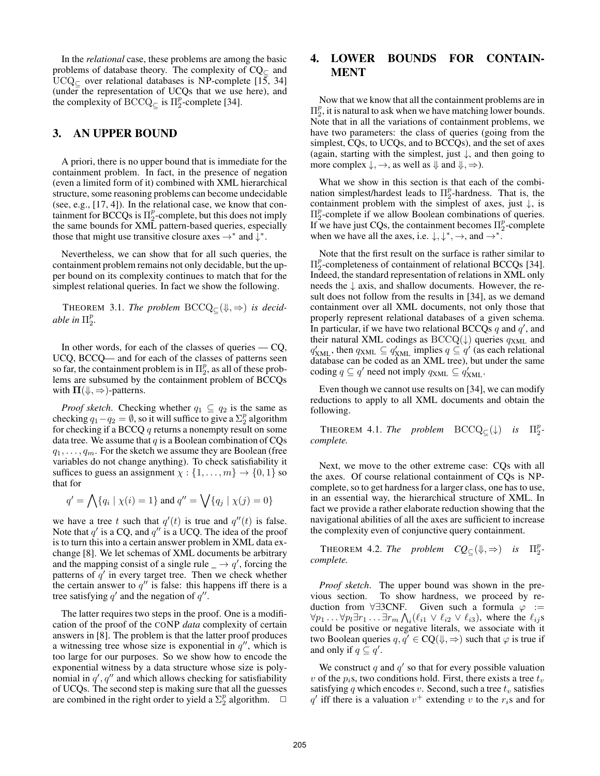In the *relational* case, these problems are among the basic problems of database theory. The complexity of  $CQ_{\subset}$  and  $UCQ<sub>C</sub>$  over relational databases is NP-complete [15, 34] (under the representation of UCQs that we use here), and the complexity of BCCQ<sub>⊆</sub> is  $\Pi_2^p$ -complete [34].

#### 3. AN UPPER BOUND

A priori, there is no upper bound that is immediate for the containment problem. In fact, in the presence of negation (even a limited form of it) combined with XML hierarchical structure, some reasoning problems can become undecidable (see, e.g., [17, 4]). In the relational case, we know that containment for BCCQs is  $\Pi_2^p$ -complete, but this does not imply the same bounds for XML pattern-based queries, especially those that might use transitive closure axes  $\rightarrow^*$  and  $\hat{\downarrow}^*$ .

Nevertheless, we can show that for all such queries, the containment problem remains not only decidable, but the upper bound on its complexity continues to match that for the simplest relational queries. In fact we show the following.

THEOREM 3.1. *The problem*  $\text{BCCQ}_{\subset}(\Downarrow, \Rightarrow)$  *is decidable in*  $\Pi_2^p$ .

In other words, for each of the classes of queries  $-$  CQ, UCQ, BCCQ— and for each of the classes of patterns seen so far, the containment problem is in  $\Pi_2^p$ , as all of these problems are subsumed by the containment problem of BCCQs with  $\Pi(\Downarrow, \Rightarrow)$ -patterns.

*Proof sketch.* Checking whether  $q_1 \subseteq q_2$  is the same as checking  $q_1 - q_2 = \emptyset$ , so it will suffice to give a  $\Sigma_2^p$  algorithm for checking if a BCCQ  $q$  returns a nonempty result on some data tree. We assume that  $q$  is a Boolean combination of CQs  $q_1, \ldots, q_m$ . For the sketch we assume they are Boolean (free variables do not change anything). To check satisfiability it suffices to guess an assignment  $\chi : \{1, \ldots, m\} \to \{0, 1\}$  so that for

$$
q' = \bigwedge \{q_i \mid \chi(i) = 1\} \text{ and } q'' = \bigvee \{q_j \mid \chi(j) = 0\}
$$

we have a tree t such that  $q'(t)$  is true and  $q''(t)$  is false. Note that  $q'$  is a CQ, and  $q''$  is a UCQ. The idea of the proof is to turn this into a certain answer problem in XML data exchange [8]. We let schemas of XML documents be arbitrary and the mapping consist of a single rule  $\rightarrow$   $q'$ , forcing the patterns of  $q'$  in every target tree. Then we check whether the certain answer to  $q''$  is false: this happens iff there is a tree satisfying  $q'$  and the negation of  $q''$ .

The latter requires two steps in the proof. One is a modification of the proof of the CONP *data* complexity of certain answers in [8]. The problem is that the latter proof produces a witnessing tree whose size is exponential in  $q''$ , which is too large for our purposes. So we show how to encode the exponential witness by a data structure whose size is polynomial in  $q'$ ,  $q''$  and which allows checking for satisfiability of UCQs. The second step is making sure that all the guesses are combined in the right order to yield a  $\Sigma_2^p$  algorithm.  $\Box$ 

## 4. LOWER BOUNDS FOR CONTAIN-MENT

Now that we know that all the containment problems are in  $\Pi_2^p$ , it is natural to ask when we have matching lower bounds. Note that in all the variations of containment problems, we have two parameters: the class of queries (going from the simplest, CQs, to UCQs, and to BCCQs), and the set of axes (again, starting with the simplest, just  $\downarrow$ , and then going to more complex  $\downarrow$ ,  $\rightarrow$ , as well as  $\downarrow$  and  $\downarrow$ ,  $\Rightarrow$ ).

What we show in this section is that each of the combination simplest/hardest leads to  $\Pi_2^p$ -hardness. That is, the containment problem with the simplest of axes, just  $\downarrow$ , is  $\Pi_2^p$ -complete if we allow Boolean combinations of queries. If we have just CQs, the containment becomes  $\Pi_2^p$ -complete when we have all the axes, i.e.  $\downarrow, \downarrow^*, \rightarrow$ , and  $\rightarrow^*$ .

Note that the first result on the surface is rather similar to  $\Pi_2^p$ -completeness of containment of relational BCCQs [34]. Indeed, the standard representation of relations in XML only needs the ↓ axis, and shallow documents. However, the result does not follow from the results in [34], as we demand containment over all XML documents, not only those that properly represent relational databases of a given schema. In particular, if we have two relational BCCQs  $q$  and  $q'$ , and their natural XML codings as  $\text{BCCQ}(\downarrow)$  queries  $q_{\text{XML}}$  and  $q'_{\text{XML}}$ , then  $q_{\text{XML}} \subseteq q'_{\text{XML}}$  implies  $q \subseteq q'$  (as each relational database can be coded as an XML tree), but under the same<br>coding  $a \subseteq a'$  need not imply  $a_{\text{max}} \subseteq a'$ coding  $q \subseteq q'$  need not imply  $q_{\text{XML}} \subseteq q'_{\text{XML}}$ .

Even though we cannot use results on [34], we can modify reductions to apply to all XML documents and obtain the following.

**THEOREM 4.1.** *The problem*  $\text{BCCQ}_{\subseteq}(\downarrow)$  *is*  $\Pi_2^p$ *complete.*

Next, we move to the other extreme case: CQs with all the axes. Of course relational containment of CQs is NPcomplete, so to get hardness for a larger class, one has to use, in an essential way, the hierarchical structure of XML. In fact we provide a rather elaborate reduction showing that the navigational abilities of all the axes are sufficient to increase the complexity even of conjunctive query containment.

**THEOREM 4.2.** The problem  $CQ_{\subseteq}(\downarrow, \Rightarrow)$  is  $\Pi_2^p$ *complete.*

*Proof sketch*. The upper bound was shown in the previous section. To show hardness, we proceed by reduction from  $\forall \exists 3\text{CNF}$ . Given such a formula  $\varphi$  :=  $\forall p_1 \ldots \forall p_l \exists r_1 \ldots \exists r_m \bigwedge_i (\ell_{i1} \vee \ell_{i2} \vee \ell_{i3}),$  where the  $\ell_{ij}$ s could be positive or negative literals, we associate with it two Boolean queries  $q, q' \in \mathbb{CQ}(\mathbb{U}, \Rightarrow)$  such that  $\varphi$  is true if and only if  $q \subseteq q'$ .

We construct  $q$  and  $q'$  so that for every possible valuation v of the  $p_i$ s, two conditions hold. First, there exists a tree  $t_v$ satisfying  $q$  which encodes  $v$ . Second, such a tree  $t_v$  satisfies  $q'$  iff there is a valuation  $v^+$  extending v to the  $r_i$ s and for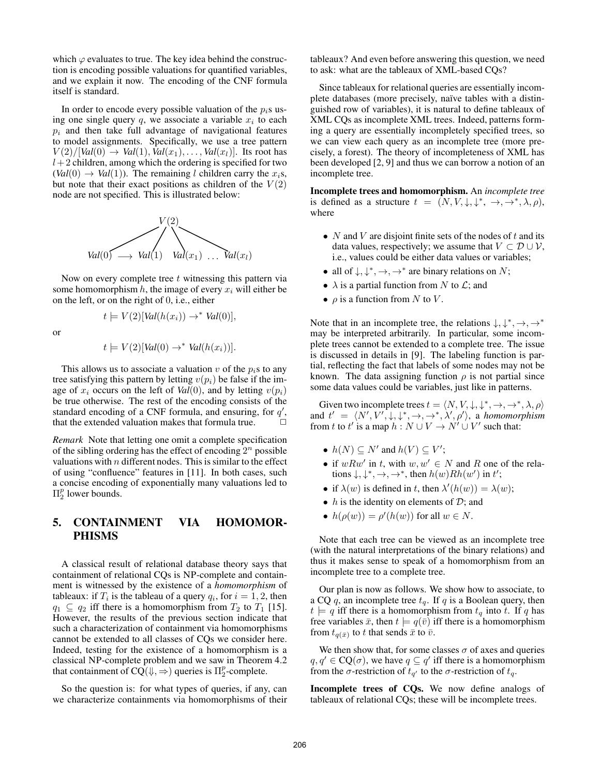which  $\varphi$  evaluates to true. The key idea behind the construction is encoding possible valuations for quantified variables, and we explain it now. The encoding of the CNF formula itself is standard.

In order to encode every possible valuation of the  $p_i$ s using one single query  $q$ , we associate a variable  $x_i$  to each  $p_i$  and then take full advantage of navigational features to model assignments. Specifically, we use a tree pattern  $V(2)/[Val(0) \rightarrow Val(1), Val(x_1), \ldots, Val(x_l)].$  Its root has  $l+2$  children, among which the ordering is specified for two  $(Val(0) \rightarrow Val(1))$ . The remaining l children carry the  $x_i$ s, but note that their exact positions as children of the  $V(2)$ node are not specified. This is illustrated below:



Now on every complete tree  $t$  witnessing this pattern via some homomorphism h, the image of every  $x_i$  will either be on the left, or on the right of 0, i.e., either

or

$$
t \models V(2)[\textit{Val}(h(x_i)) \rightarrow^* \textit{Val}(0)],
$$

$$
t \models V(2)[\text{Val}(0) \rightarrow^* \text{Val}(h(x_i))].
$$

This allows us to associate a valuation v of the  $p_i$ s to any tree satisfying this pattern by letting  $v(p_i)$  be false if the image of  $x_i$  occurs on the left of *Val*(0), and by letting  $v(p_i)$ be true otherwise. The rest of the encoding consists of the standard encoding of a CNF formula, and ensuring, for  $q'$ , that the extended valuation makes that formula true.

*Remark* Note that letting one omit a complete specification of the sibling ordering has the effect of encoding  $2^n$  possible valuations with  $n$  different nodes. This is similar to the effect of using "confluence" features in [11]. In both cases, such a concise encoding of exponentially many valuations led to  $\Pi_2^p$  lower bounds.

## 5. CONTAINMENT VIA HOMOMOR-PHISMS

A classical result of relational database theory says that containment of relational CQs is NP-complete and containment is witnessed by the existence of a *homomorphism* of tableaux: if  $T_i$  is the tableau of a query  $q_i$ , for  $i = 1, 2$ , then  $q_1 \nsubseteq q_2$  iff there is a homomorphism from  $T_2$  to  $T_1$  [15]. However, the results of the previous section indicate that such a characterization of containment via homomorphisms cannot be extended to all classes of CQs we consider here. Indeed, testing for the existence of a homomorphism is a classical NP-complete problem and we saw in Theorem 4.2 that containment of  $CQ(\Downarrow, \Rightarrow)$  queries is  $\Pi_2^p$ -complete.

So the question is: for what types of queries, if any, can we characterize containments via homomorphisms of their tableaux? And even before answering this question, we need to ask: what are the tableaux of XML-based CQs?

Since tableaux for relational queries are essentially incomplete databases (more precisely, naïve tables with a distinguished row of variables), it is natural to define tableaux of XML CQs as incomplete XML trees. Indeed, patterns forming a query are essentially incompletely specified trees, so we can view each query as an incomplete tree (more precisely, a forest). The theory of incompleteness of XML has been developed [2, 9] and thus we can borrow a notion of an incomplete tree.

Incomplete trees and homomorphism. An *incomplete tree* is defined as a structure  $t = (N, V, \downarrow, \downarrow^*, \rightarrow, \rightarrow^*, \lambda, \rho)$ , where

- $N$  and  $V$  are disjoint finite sets of the nodes of  $t$  and its data values, respectively; we assume that  $V \subset \mathcal{D} \cup \mathcal{V}$ , i.e., values could be either data values or variables;
- all of  $\downarrow, \downarrow^*, \rightarrow, \rightarrow^*$  are binary relations on N;
- $\lambda$  is a partial function from N to  $\mathcal{L}$ ; and
- $\rho$  is a function from N to V.

Note that in an incomplete tree, the relations  $\downarrow, \downarrow^*, \rightarrow, \rightarrow^*$ may be interpreted arbitrarily. In particular, some incomplete trees cannot be extended to a complete tree. The issue is discussed in details in [9]. The labeling function is partial, reflecting the fact that labels of some nodes may not be known. The data assigning function  $\rho$  is not partial since some data values could be variables, just like in patterns.

Given two incomplete trees  $t = \langle N, V, \downarrow, \downarrow^*, \rightarrow, \rightarrow^*, \lambda, \rho \rangle$ and  $t' = \langle N', V', \downarrow, \downarrow^*, \rightarrow, \rightarrow^*, \lambda', \rho' \rangle$ , a *homomorphism* from t to t' is a map  $h: N \cup V \to N' \cup V'$  such that:

- $h(N) \subseteq N'$  and  $h(V) \subseteq V'$ ;
- if  $wRw'$  in t, with  $w, w' \in N$  and R one of the relations  $\downarrow, \downarrow^*, \rightarrow, \rightarrow^*$ , then  $h(w)Rh(w')$  in  $t'$ ;
- if  $\lambda(w)$  is defined in t, then  $\lambda'(h(w)) = \lambda(w)$ ;
- $h$  is the identity on elements of  $D$ ; and
- $h(\rho(w)) = \rho'(h(w))$  for all  $w \in N$ .

Note that each tree can be viewed as an incomplete tree (with the natural interpretations of the binary relations) and thus it makes sense to speak of a homomorphism from an incomplete tree to a complete tree.

Our plan is now as follows. We show how to associate, to a CQ  $q$ , an incomplete tree  $t_q$ . If  $q$  is a Boolean query, then  $t \models q$  iff there is a homomorphism from  $t_q$  into t. If q has free variables  $\bar{x}$ , then  $t \models q(\bar{v})$  iff there is a homomorphism from  $t_{q(\bar{x})}$  to t that sends  $\bar{x}$  to  $\bar{v}$ .

We then show that, for some classes  $\sigma$  of axes and queries  $q, q' \in \mathbf{CQ}(\sigma)$ , we have  $q \subseteq q'$  iff there is a homomorphism from the  $\sigma$ -restriction of  $t_{q'}$  to the  $\sigma$ -restriction of  $t_q$ .

Incomplete trees of CQs. We now define analogs of tableaux of relational CQs; these will be incomplete trees.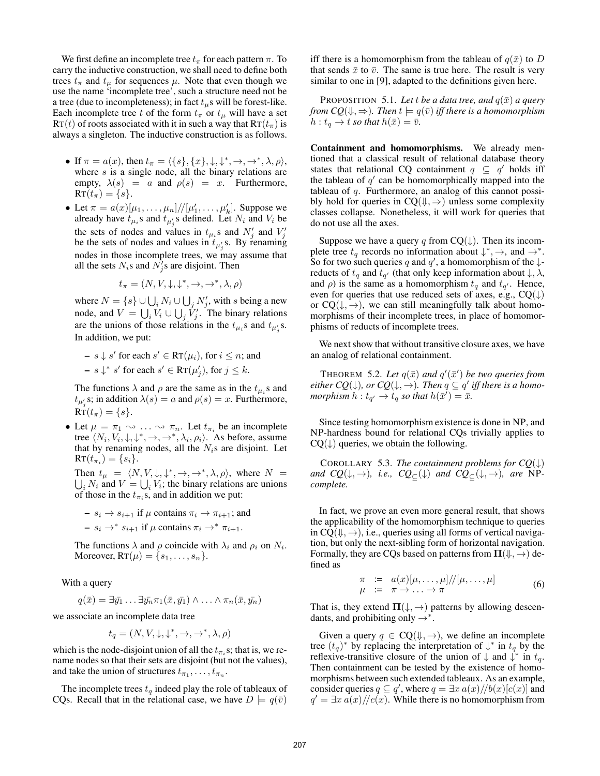We first define an incomplete tree  $t_\pi$  for each pattern  $\pi$ . To carry the inductive construction, we shall need to define both trees  $t_{\pi}$  and  $t_{\mu}$  for sequences  $\mu$ . Note that even though we use the name 'incomplete tree', such a structure need not be a tree (due to incompleteness); in fact  $t_{\mu}$ s will be forest-like. Each incomplete tree t of the form  $t_{\pi}$  or  $t_{\mu}$  will have a set  $RT(t)$  of roots associated with it in such a way that  $RT(t_\pi)$  is always a singleton. The inductive construction is as follows.

- If  $\pi = a(x)$ , then  $t_{\pi} = \langle \{s\}, \{x\}, \downarrow, \downarrow^*, \rightarrow, \rightarrow^*, \lambda, \rho \rangle$ , where  $s$  is a single node, all the binary relations are empty,  $\lambda(s) = a$  and  $\rho(s) = x$ . Furthermore,  $RT(t_{\pi}) = \{s\}.$
- Let  $\pi = a(x)[\mu_1, \ldots, \mu_n]/[\mu'_1, \ldots, \mu'_k]$ . Suppose we already have  $t_{\mu_i}$ s and  $t_{\mu'_j}$ s defined. Let  $N_i$  and  $V_i$  be the sets of nodes and values in  $t_{\mu i}$ s and  $N'_j$  and  $V'_j$ be the sets of nodes and values in  $t_{\mu'_j}$ s. By renaming nodes in those incomplete trees, we may assume that all the sets  $N_i$ s and  $\overline{N}_j$ 's are disjoint. Then

$$
t_{\pi} = (N, V, \downarrow, \downarrow^*, \rightarrow, \rightarrow^*, \lambda, \rho)
$$

where  $N = \{s\} \cup \bigcup_i N_i \cup \bigcup_j N'_j$ , with s being a new node, and  $V = \bigcup_i V_i \cup \bigcup_j V'_j$ . The binary relations are the unions of those relations in the  $t_{\mu_i}$ s and  $t_{\mu'_j}$ s. In addition, we put:

- 
$$
s \downarrow s'
$$
 for each  $s' \in \mathrm{RT}(\mu_i)$ , for  $i \leq n$ ; and

$$
- s \downarrow^* s' \text{ for each } s' \in \mathsf{RT}(\mu'_j), \text{ for } j \leq k.
$$

The functions  $\lambda$  and  $\rho$  are the same as in the  $t_{\mu_i}$ s and  $t_{\mu'_j}$ s; in addition  $\lambda(s) = a$  and  $\rho(s) = x$ . Furthermore,  $RT(t_{\pi}) = \{s\}.$ 

• Let  $\mu = \pi_1 \leadsto \ldots \leadsto \pi_n$ . Let  $t_{\pi_i}$  be an incomplete tree  $\langle N_i, V_i, \downarrow, \downarrow^*, \rightarrow, \rightarrow^*, \lambda_i, \rho_i \rangle$ . As before, assume that by renaming nodes, all the  $N_i$ s are disjoint. Let  $RT(t_{\pi_i}) = \{s_i\}.$ 

Then  $t_{\mu} = \langle N, V, \downarrow, \downarrow^*, \rightarrow, \rightarrow^*, \lambda, \rho \rangle$ , where  $N =$  $\bigcup_i N_i$  and  $V = \bigcup_i V_i$ ; the binary relations are unions of those in the  $t_{\pi_i}$ s, and in addition we put:

\n- $$
s_i \rightarrow s_{i+1}
$$
 if  $\mu$  contains  $\pi_i \rightarrow \pi_{i+1}$ ; and
\n- $s_i \rightarrow^* s_{i+1}$  if  $\mu$  contains  $\pi_i \rightarrow^* \pi_{i+1}$ .
\n

The functions  $\lambda$  and  $\rho$  coincide with  $\lambda_i$  and  $\rho_i$  on  $N_i$ . Moreover,  $RT(\mu) = \{s_1, \ldots, s_n\}.$ 

With a query

$$
q(\bar{x}) = \exists \bar{y_1} \ldots \exists \bar{y_n} \pi_1(\bar{x}, \bar{y_1}) \wedge \ldots \wedge \pi_n(\bar{x}, \bar{y_n})
$$

we associate an incomplete data tree

$$
t_q = (N, V, \downarrow, \downarrow^*, \rightarrow, \rightarrow^*, \lambda, \rho)
$$

which is the node-disjoint union of all the  $t_{\pi_i}$ s; that is, we rename nodes so that their sets are disjoint (but not the values), and take the union of structures  $t_{\pi_1}, \ldots, t_{\pi_n}$ .

The incomplete trees  $t_q$  indeed play the role of tableaux of CQs. Recall that in the relational case, we have  $D \models q(\bar{v})$ 

iff there is a homomorphism from the tableau of  $q(\bar{x})$  to D that sends  $\bar{x}$  to  $\bar{v}$ . The same is true here. The result is very similar to one in [9], adapted to the definitions given here.

PROPOSITION 5.1. Let *t* be a data tree, and  $q(\bar{x})$  a query *from CQ*( $\Downarrow$ ,  $\Rightarrow$ ). *Then*  $t \models q(\bar{v})$  *iff there is a homomorphism*  $h: t_q \to t$  *so that*  $h(\bar{x}) = \bar{v}$ *.* 

Containment and homomorphisms. We already mentioned that a classical result of relational database theory states that relational CQ containment  $q \subseteq q'$  holds iff the tableau of  $q'$  can be homomorphically mapped into the tableau of q. Furthermore, an analog of this cannot possibly hold for queries in  $CQ(\Downarrow, \Rightarrow)$  unless some complexity classes collapse. Nonetheless, it will work for queries that do not use all the axes.

Suppose we have a query q from  $CQ(\downarrow)$ . Then its incomplete tree  $t_q$  records no information about  $\downarrow^*, \rightarrow$ , and  $\rightarrow^*$ . So for two such queries q and  $q'$ , a homomorphism of the  $\downarrow$ reducts of  $t_q$  and  $t_{q'}$  (that only keep information about  $\downarrow$ ,  $\lambda$ , and  $\rho$ ) is the same as a homomorphism  $t_q$  and  $t_{q'}$ . Hence, even for queries that use reduced sets of axes, e.g.,  $CQ(\downarrow)$ or  $CQ(\downarrow, \rightarrow)$ , we can still meaningfully talk about homomorphisms of their incomplete trees, in place of homomorphisms of reducts of incomplete trees.

We next show that without transitive closure axes, we have an analog of relational containment.

THEOREM 5.2. Let  $q(\bar{x})$  and  $q'(\bar{x}')$  be two queries from  $\mathit{either} \ CQ(\downarrow), \ or \ CQ(\downarrow, \rightarrow)$ . Then  $q \subseteq q'$  iff there is a homo*morphism*  $h: t_{q'} \to t_q$  so that  $h(\bar{x}^{\bar{t}}) = \bar{x}$ .

Since testing homomorphism existence is done in NP, and NP-hardness bound for relational CQs trivially applies to  $CQ(\downarrow)$  queries, we obtain the following.

COROLLARY 5.3. *The containment problems for CQ*( $\downarrow$ ) *and*  $CQ(\downarrow, \rightarrow)$ *, i.e.,*  $CQ_{\subset}(\downarrow)$  *and*  $CQ_{\subset}(\downarrow, \rightarrow)$ *, are* NP*complete.*

In fact, we prove an even more general result, that shows the applicability of the homomorphism technique to queries in  $CQ(\Downarrow, \rightarrow)$ , i.e., queries using all forms of vertical navigation, but only the next-sibling form of horizontal navigation. Formally, they are CQs based on patterns from  $\Pi(\Downarrow, \rightarrow)$  defined as

$$
\begin{array}{rcl}\n\pi & := & a(x)[\mu, \dots, \mu] / [\mu, \dots, \mu] \\
\mu & := & \pi \to \dots \to \pi\n\end{array} \tag{6}
$$

That is, they extend  $\Pi(\downarrow, \rightarrow)$  patterns by allowing descendants, and prohibiting only  $\rightarrow^*$ .

Given a query  $q \in \mathbb{C}\mathbb{Q}(\mathcal{V}, \to)$ , we define an incomplete tree  $(t_q)^*$  by replacing the interpretation of  $\downarrow^*$  in  $t_q$  by the reflexive-transitive closure of the union of  $\downarrow$  and  $\downarrow^*$  in  $t_q$ . Then containment can be tested by the existence of homomorphisms between such extended tableaux. As an example, consider queries  $q \subseteq q'$ , where  $q = \exists x \, a(x)/\!/b(x)[c(x)]$  and  $q' = \exists x \ a(x) // c(x)$ . While there is no homomorphism from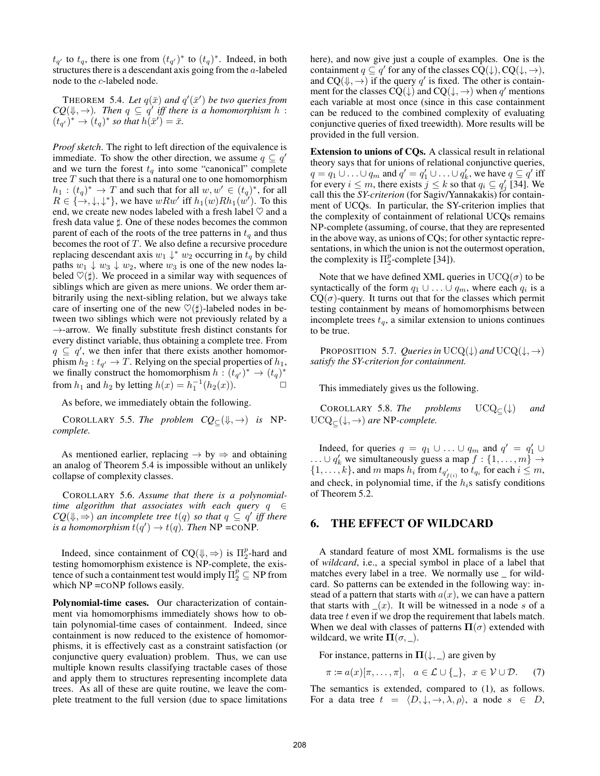$t_{q'}$  to  $t_q$ , there is one from  $(t_{q'})^*$  to  $(t_q)^*$ . Indeed, in both structures there is a descendant axis going from the  $a$ -labeled node to the c-labeled node.

THEOREM 5.4. Let  $q(\bar{x})$  and  $q'(\bar{x}')$  be two queries from  $CQ(\downarrow, \rightarrow)$ . Then  $q \subseteq q'$  iff there is a homomorphism h:  $(t_{q'})^* \rightarrow (t_q)^*$  so that  $h(\bar{x}') = \bar{x}$ .

*Proof sketch*. The right to left direction of the equivalence is immediate. To show the other direction, we assume  $q \subseteq q'$ and we turn the forest  $t_q$  into some "canonical" complete tree  $T$  such that there is a natural one to one homomorphism  $h_1$ :  $(t_q)^* \to T$  and such that for all  $w, w' \in (t_q)^*$ , for all  $R \in \{ \rightarrow, \downarrow, \downarrow^* \}$ , we have  $wRw'$  iff  $h_1(w)Rh_1(w')$ . To this end, we create new nodes labeled with a fresh label  $\heartsuit$  and a fresh data value ♯. One of these nodes becomes the common parent of each of the roots of the tree patterns in  $t_q$  and thus becomes the root of  $T$ . We also define a recursive procedure replacing descendant axis  $w_1 \downarrow^* w_2$  occurring in  $\overline{t}_q$  by child paths  $w_1 \downarrow w_3 \downarrow w_2$ , where  $w_3$  is one of the new nodes labeled  $\heartsuit(\sharp)$ . We proceed in a similar way with sequences of siblings which are given as mere unions. We order them arbitrarily using the next-sibling relation, but we always take care of inserting one of the new  $\heartsuit(\sharp)$ -labeled nodes in between two siblings which were not previously related by a  $\rightarrow$ -arrow. We finally substitute fresh distinct constants for every distinct variable, thus obtaining a complete tree. From  $q \subseteq q'$ , we then infer that there exists another homomorphism  $h_2: t_{q'} \to T$ . Relying on the special properties of  $h_1$ , we finally construct the homomorphism  $h: (t_{q'})^* \rightarrow (t_q)^*$ from  $h_1$  and  $h_2$  by letting  $h(x) = h_1^{-1}(h_2(x))$ .

As before, we immediately obtain the following.

COROLLARY 5.5. *The problem*  $CQ_{\subset}(\Downarrow, \rightarrow)$  *is* NP*complete.*

As mentioned earlier, replacing  $\rightarrow$  by  $\Rightarrow$  and obtaining an analog of Theorem 5.4 is impossible without an unlikely collapse of complexity classes.

COROLLARY 5.6. *Assume that there is a polynomialtime algorithm that associates with each query* q ∈  $CQ(\downarrow, \Rightarrow)$  *an incomplete tree*  $t(q)$  *so that*  $q \subseteq q'$  *iff there is a homomorphism*  $t(q') \rightarrow t(q)$ . Then NP = CONP.

Indeed, since containment of  $CQ(\Downarrow, \Rightarrow)$  is  $\Pi_2^p$ -hard and testing homomorphism existence is NP-complete, the existence of such a containment test would imply  $\Pi_2^p \subseteq NP$  from which NP = CONP follows easily.

Polynomial-time cases. Our characterization of containment via homomorphisms immediately shows how to obtain polynomial-time cases of containment. Indeed, since containment is now reduced to the existence of homomorphisms, it is effectively cast as a constraint satisfaction (or conjunctive query evaluation) problem. Thus, we can use multiple known results classifying tractable cases of those and apply them to structures representing incomplete data trees. As all of these are quite routine, we leave the complete treatment to the full version (due to space limitations here), and now give just a couple of examples. One is the containment  $q \subseteq q'$  for any of the classes  $CQ(\downarrow, CQ(\downarrow, \rightarrow))$ , and  $CQ(\downarrow, \rightarrow)$  if the query q' is fixed. The other is containment for the classes  $\text{CQ}(\downarrow)$  and  $\text{CQ}(\downarrow, \rightarrow)$  when q' mentions each variable at most once (since in this case containment can be reduced to the combined complexity of evaluating conjunctive queries of fixed treewidth). More results will be provided in the full version.

Extension to unions of CQs. A classical result in relational theory says that for unions of relational conjunctive queries,  $q = q_1 \cup \ldots \cup q_m$  and  $q' = q'_1 \cup \ldots \cup q'_k$ , we have  $q \subseteq q'$  iff for every  $i \leq m$ , there exists  $j \leq k$  so that  $q_i \subseteq q'_j$  [34]. We call this the *SY-criterion* (for Sagiv/Yannakakis) for containment of UCQs. In particular, the SY-criterion implies that the complexity of containment of relational UCQs remains NP-complete (assuming, of course, that they are represented in the above way, as unions of CQs; for other syntactic representations, in which the union is not the outermost operation, the complexity is  $\Pi_2^p$ -complete [34]).

Note that we have defined XML queries in  $UCQ(\sigma)$  to be syntactically of the form  $q_1 \cup \ldots \cup q_m$ , where each  $q_i$  is a  $CQ(\sigma)$ -query. It turns out that for the classes which permit testing containment by means of homomorphisms between incomplete trees  $t_q$ , a similar extension to unions continues to be true.

**PROPOSITION** 5.7. *Queries in* UCQ( $\downarrow$ ) *and* UCQ( $\downarrow$ ,  $\rightarrow$ ) *satisfy the SY-criterion for containment.*

This immediately gives us the following.

COROLLARY 5.8. *The problems*  $UCQ_{\subset}(\downarrow)$  *and*  $UCQ_{\subset}(\downarrow, \rightarrow)$  are NP-complete.

Indeed, for queries  $q = q_1 \cup \ldots \cup q_m$  and  $q' = q'_1 \cup$  $\dots \cup q'_k$  we simultaneously guess a map  $f: \{1, \dots, m\}^{\mathsf{T}} \to$  $\{1, \ldots, k\}$ , and m maps  $h_i$  from  $t_{q'_{f(i)}}$  to  $t_{q_i}$  for each  $i \leq m$ , and check, in polynomial time, if the  $h_i$ s satisfy conditions of Theorem 5.2.

## 6. THE EFFECT OF WILDCARD

A standard feature of most XML formalisms is the use of *wildcard*, i.e., a special symbol in place of a label that matches every label in a tree. We normally use \_ for wildcard. So patterns can be extended in the following way: instead of a pattern that starts with  $a(x)$ , we can have a pattern that starts with  $(x)$ . It will be witnessed in a node s of a data tree t even if we drop the requirement that labels match. When we deal with classes of patterns  $\Pi(\sigma)$  extended with wildcard, we write  $\Pi(\sigma, \_)$ .

For instance, patterns in  $\Pi(\downarrow, \_)$  are given by

 $\pi := a(x)[\pi, \ldots, \pi], \quad a \in \mathcal{L} \cup \{\_ \}, \quad x \in \mathcal{V} \cup \mathcal{D}.$  (7)

The semantics is extended, compared to (1), as follows. For a data tree  $t = \langle D, \downarrow, \to, \lambda, \rho \rangle$ , a node  $s \in D$ ,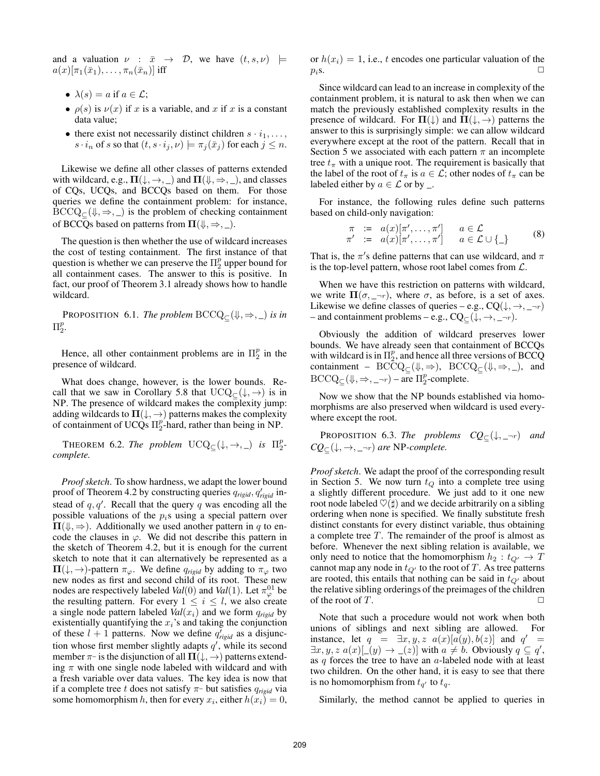and a valuation  $\nu : \bar{x} \rightarrow \mathcal{D}$ , we have  $(t, s, \nu) \models$  $a(x)[\pi_1(\bar{x}_1), \ldots, \pi_n(\bar{x}_n)]$  iff

- $\lambda(s) = a$  if  $a \in \mathcal{L}$ ;
- $\rho(s)$  is  $\nu(x)$  if x is a variable, and x if x is a constant data value;
- there exist not necessarily distinct children  $s \cdot i_1, \ldots,$  $s \cdot i_n$  of s so that  $(t, s \cdot i_j, \nu) \models \pi_j(\bar{x}_j)$  for each  $j \leq n$ .

Likewise we define all other classes of patterns extended with wildcard, e.g.,  $\Pi(\downarrow, \rightarrow, \_)$  and  $\Pi(\downarrow, \Rightarrow, \_)$ , and classes of CQs, UCQs, and BCCQs based on them. For those queries we define the containment problem: for instance,  $BCCQ_{\subset}(\Downarrow, \Rightarrow, \_)$  is the problem of checking containment of BCCQs based on patterns from  $\Pi(\psi, \Rightarrow, \_).$ 

The question is then whether the use of wildcard increases the cost of testing containment. The first instance of that question is whether we can preserve the  $\Pi_2^p$  upper bound for all containment cases. The answer to this is positive. In fact, our proof of Theorem 3.1 already shows how to handle wildcard.

PROPOSITION 6.1. *The problem*  $\text{BCCQ}_{\subset}(\Downarrow, \Rightarrow, \_)$  *is in*  $\Pi_2^p$ .

Hence, all other containment problems are in  $\Pi_2^p$  in the presence of wildcard.

What does change, however, is the lower bounds. Recall that we saw in Corollary 5.8 that  $UCQ_{\subset}(\downarrow, \rightarrow)$  is in NP. The presence of wildcard makes the complexity jump: adding wildcards to  $\Pi(\downarrow, \rightarrow)$  patterns makes the complexity of containment of UCQs  $\Pi_2^{\nu}$ -hard, rather than being in NP.

**THEOREM 6.2.** *The problem*  $UCQ_{\subseteq}(\downarrow, \rightarrow, \_)$  *is*  $\Pi_2^p$ *complete.*

*Proof sketch*. To show hardness, we adapt the lower bound proof of Theorem 4.2 by constructing queries  $q_{rigid}$ ,  $q'_{rigid}$  instead of  $q, q'$ . Recall that the query q was encoding all the possible valuations of the  $p_i$ s using a special pattern over  $\Pi(\psi, \Rightarrow)$ . Additionally we used another pattern in q to encode the clauses in  $\varphi$ . We did not describe this pattern in the sketch of Theorem 4.2, but it is enough for the current sketch to note that it can alternatively be represented as a  $\Pi(\downarrow, \rightarrow)$ -pattern  $\pi_{\varphi}$ . We define  $q_{rigid}$  by adding to  $\pi_{\varphi}$  two new nodes as first and second child of its root. These new nodes are respectively labeled *Val*(0) and *Val*(1). Let  $\pi_{\varphi}^{01}$  be the resulting pattern. For every  $1 \leq i \leq l$ , we also create a single node pattern labeled  $Val(x_i)$  and we form  $q_{riel}$  by existentially quantifying the  $x_i$ 's and taking the conjunction of these  $l + 1$  patterns. Now we define  $q_{rigid}^r$  as a disjunction whose first member slightly adapts  $q'$ , while its second member  $\pi$ - is the disjunction of all  $\Pi(\downarrow, \rightarrow)$  patterns extending  $\pi$  with one single node labeled with wildcard and with a fresh variable over data values. The key idea is now that if a complete tree t does not satisfy  $\pi$ - but satisfies  $q_{rigid}$  via some homomorphism h, then for every  $x_i$ , either  $h(x_i) = 0$ ,

or  $h(x_i) = 1$ , i.e., t encodes one particular valuation of the  $p_i$ s.  $\Box$ 

Since wildcard can lead to an increase in complexity of the containment problem, it is natural to ask then when we can match the previously established complexity results in the presence of wildcard. For  $\Pi(\downarrow)$  and  $\Pi(\downarrow, \rightarrow)$  patterns the answer to this is surprisingly simple: we can allow wildcard everywhere except at the root of the pattern. Recall that in Section 5 we associated with each pattern  $\pi$  an incomplete tree  $t_{\pi}$  with a unique root. The requirement is basically that the label of the root of  $t_{\pi}$  is  $a \in \mathcal{L}$ ; other nodes of  $t_{\pi}$  can be labeled either by  $a \in \mathcal{L}$  or by \_.

For instance, the following rules define such patterns based on child-only navigation:

$$
\begin{array}{rcl}\n\pi & := & a(x)[\pi', \dots, \pi'] & a \in \mathcal{L} \\
\pi' & := & a(x)[\pi', \dots, \pi'] & a \in \mathcal{L} \cup \{\_ \}\n\end{array} \tag{8}
$$

That is, the  $\pi$ 's define patterns that can use wildcard, and  $\pi$ is the top-level pattern, whose root label comes from  $\mathcal{L}$ .

When we have this restriction on patterns with wildcard, we write  $\Pi(\sigma, \neg \neg r)$ , where  $\sigma$ , as before, is a set of axes. Likewise we define classes of queries – e.g.,  $CQ(\downarrow, \rightarrow, \_\neg r)$ – and containment problems – e.g.,  $CQ_{\subset}(\bar{\downarrow}, \to, \bar{\downarrow}, \bar{\uparrow})$ .

Obviously the addition of wildcard preserves lower bounds. We have already seen that containment of BCCQs with wildcard is in  $\Pi_2^p$ , and hence all three versions of BCCQ containment –  $\text{BCCQ}_{\subseteq}(\Downarrow, \Rightarrow)$ ,  $\text{BCCQ}_{\subseteq}(\Downarrow, \Rightarrow, \_,)$ , and  $\text{BCCQ}_{\subseteq}(\Downarrow, \Rightarrow, \_\neg r)$  – are  $\Pi_2^p$ -complete.

Now we show that the NP bounds established via homomorphisms are also preserved when wildcard is used everywhere except the root.

PROPOSITION 6.3. *The problems*  $CQ_{\subseteq}(\downarrow, \_\neg r)$  *and*  $CQ_{\subset}(\downarrow, \rightarrow, \_\neg r)$  *are* NP-*complete.* 

*Proof sketch*. We adapt the proof of the corresponding result in Section 5. We now turn  $t_Q$  into a complete tree using a slightly different procedure. We just add to it one new root node labeled  $\heartsuit(\sharp)$  and we decide arbitrarily on a sibling ordering when none is specified. We finally substitute fresh distinct constants for every distinct variable, thus obtaining a complete tree  $T$ . The remainder of the proof is almost as before. Whenever the next sibling relation is available, we only need to notice that the homomorphism  $h_2 : t_{Q'} \to T$ cannot map any node in  $t_{Q'}$  to the root of T. As tree patterns are rooted, this entails that nothing can be said in  $t_{Q'}$  about the relative sibling orderings of the preimages of the children of the root of  $T$ .

Note that such a procedure would not work when both unions of siblings and next sibling are allowed. For instance, let  $q = \exists x, y, z \ a(x) [a(y), b(z)]$  and  $q' = z$  $\exists x, y, z \ a(x) [ (y) \rightarrow (z) ]$  with  $a \neq b$ . Obviously  $q \subseteq q'$ , as  $q$  forces the tree to have an  $a$ -labeled node with at least two children. On the other hand, it is easy to see that there is no homomorphism from  $t_{q'}$  to  $t_q$ .

Similarly, the method cannot be applied to queries in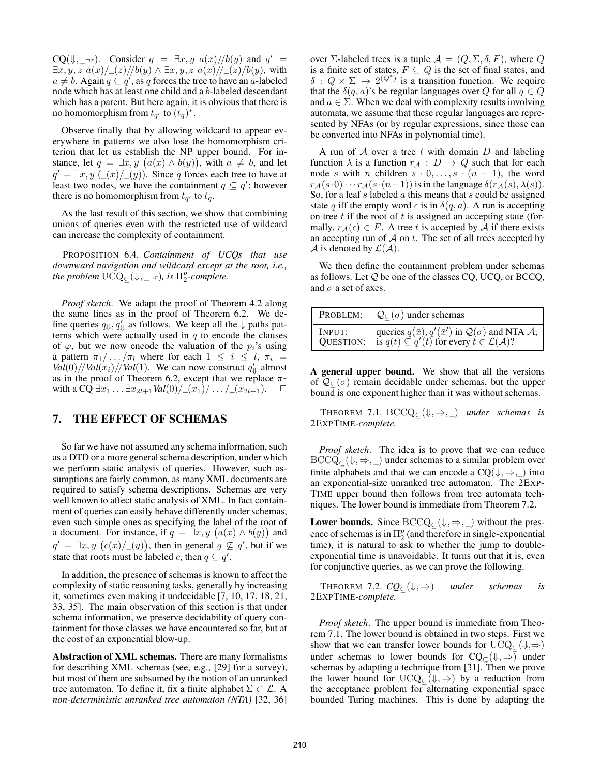$CQ(\Downarrow, \_\neg r)$ . Consider  $q = \exists x, y \ a(x) // b(y)$  and  $q' =$  $\exists x, y, z \ a(x) / (z) / (b(y) \wedge \exists x, y, z \ a(x) / (z) / (b(y)),$  with  $a \neq b$ . Again  $q \subseteq q'$ , as q forces the tree to have an a-labeled node which has at least one child and a b-labeled descendant which has a parent. But here again, it is obvious that there is no homomorphism from  $t_{q'}$  to  $(t_q)^*$ .

Observe finally that by allowing wildcard to appear everywhere in patterns we also lose the homomorphism criterion that let us establish the NP upper bound. For instance, let  $q = \exists x, y \ (a(x) \wedge b(y)),$  with  $a \neq b$ , and let  $q' = \exists x, y \; (\underline{-(x)} / \underline{-(y)})$ . Since q forces each tree to have at least two nodes, we have the containment  $q \subseteq q'$ ; however there is no homomorphism from  $t_{q'}$  to  $t_q$ .

As the last result of this section, we show that combining unions of queries even with the restricted use of wildcard can increase the complexity of containment.

PROPOSITION 6.4. *Containment of UCQs that use downward navigation and wildcard except at the root, i.e., the problem*  $\widetilde{\mathrm{UCQ}}_{\subseteq}(\Downarrow, \_,\_)$ *, is*  $\Pi_2^p$ -complete.

*Proof sketch*. We adapt the proof of Theorem 4.2 along the same lines as in the proof of Theorem 6.2. We define queries  $q_{\psi}, q_{\psi}'$  as follows. We keep all the  $\downarrow$  paths patterns which were actually used in  $q$  to encode the clauses of  $\varphi$ , but we now encode the valuation of the  $p_i$ 's using a pattern  $\pi_1 / \dots / \pi_l$  where for each  $1 \leq i \leq l$ ,  $\pi_i =$  $\frac{\text{Val}(0)}{\text{Val}(x_i)}$  // $\frac{\text{Val}(1)}{X_i}$ . We can now construct  $q'_\downarrow$  almost as in the proof of Theorem 6.2, except that we replace  $\pi$ with a CQ  $\exists x_1 \ldots \exists x_{2l+1}$  *Val*(0)/\_(x<sub>1</sub>)/ .../\_(x<sub>2l+1</sub>).  $\Box$ 

## 7. THE EFFECT OF SCHEMAS

So far we have not assumed any schema information, such as a DTD or a more general schema description, under which we perform static analysis of queries. However, such assumptions are fairly common, as many XML documents are required to satisfy schema descriptions. Schemas are very well known to affect static analysis of XML. In fact containment of queries can easily behave differently under schemas, even such simple ones as specifying the label of the root of a document. For instance, if  $q = \exists x, y \ (a(x) \land b(y))$  and  $q' = \exists x, y \ (c(x)/((y))),$  then in general  $q \not\subseteq q'$ , but if we state that roots must be labeled c, then  $q \subseteq q'$ .

In addition, the presence of schemas is known to affect the complexity of static reasoning tasks, generally by increasing it, sometimes even making it undecidable [7, 10, 17, 18, 21, 33, 35]. The main observation of this section is that under schema information, we preserve decidability of query containment for those classes we have encountered so far, but at the cost of an exponential blow-up.

Abstraction of XML schemas. There are many formalisms for describing XML schemas (see, e.g., [29] for a survey), but most of them are subsumed by the notion of an unranked tree automaton. To define it, fix a finite alphabet  $\Sigma \subset \mathcal{L}$ . A *non-deterministic unranked tree automaton (NTA)* [32, 36] over Σ-labeled trees is a tuple  $\mathcal{A} = (Q, \Sigma, \delta, F)$ , where Q is a finite set of states,  $F \subseteq Q$  is the set of final states, and  $\delta$  :  $Q \times \Sigma \rightarrow 2^{(Q^*)}$  is a transition function. We require that the  $\delta(q, a)$ 's be regular languages over Q for all  $q \in Q$ and  $a \in \Sigma$ . When we deal with complexity results involving automata, we assume that these regular languages are represented by NFAs (or by regular expressions, since those can be converted into NFAs in polynomial time).

A run of  $A$  over a tree t with domain  $D$  and labeling function  $\lambda$  is a function  $r_A : D \to Q$  such that for each node s with n children  $s \cdot 0, \ldots, s \cdot (n-1)$ , the word  $r_A(s\cdot 0)\cdots r_A(s\cdot (n-1))$  is in the language  $\delta(r_A(s),\lambda(s))$ . So, for a leaf s labeled  $\alpha$  this means that  $\alpha$  could be assigned state q iff the empty word  $\epsilon$  is in  $\delta(q, a)$ . A run is accepting on tree t if the root of t is assigned an accepting state (formally,  $r_A(\epsilon) \in F$ . A tree t is accepted by A if there exists an accepting run of  $A$  on  $t$ . The set of all trees accepted by A is denoted by  $\mathcal{L}(\mathcal{A})$ .

We then define the containment problem under schemas as follows. Let Q be one of the classes CQ, UCQ, or BCCQ, and  $\sigma$  a set of axes.

| PROBLEM: | $Q_{\subset}(\sigma)$ under schemas                                                                                                                        |
|----------|------------------------------------------------------------------------------------------------------------------------------------------------------------|
| INPUT:   | queries $q(\bar{x}), q'(\bar{x}')$ in $\mathcal{Q}(\sigma)$ and NTA A;<br>QUESTION: is $q(t) \subseteq q'(t)$ for every $t \in \mathcal{L}(\mathcal{A})$ ? |

A general upper bound. We show that all the versions of  $Q_{\subset}(\sigma)$  remain decidable under schemas, but the upper bound is one exponent higher than it was without schemas.

THEOREM 7.1.  $\text{BCCQ}_{\subseteq}(\Downarrow, \Rightarrow, \_)$  *under schemas is* 2EXPTIME*-complete.*

*Proof sketch*. The idea is to prove that we can reduce  $\text{BCCQ}_{\subset}(\Downarrow, \Rightarrow, \_)$  under schemas to a similar problem over finite alphabets and that we can encode a  $CQ(\Downarrow, \Rightarrow)$  into an exponential-size unranked tree automaton. The 2EXP-TIME upper bound then follows from tree automata techniques. The lower bound is immediate from Theorem 7.2.

**Lower bounds.** Since  $\text{BCCQ}_{\subset}(\Downarrow, \Rightarrow, \_)$  without the presence of schemas is in  $\Pi_2^p$  (and therefore in single-exponential time), it is natural to ask to whether the jump to doubleexponential time is unavoidable. It turns out that it is, even for conjunctive queries, as we can prove the following.

THEOREM 7.2.  $CQ_{\subset}(\Downarrow, \Rightarrow)$  *under schemas is* 2EXPTIME*-complete.*

*Proof sketch*. The upper bound is immediate from Theorem 7.1. The lower bound is obtained in two steps. First we show that we can transfer lower bounds for  $UCQ_{\subset}(\downarrow,\Rightarrow)$ under schemas to lower bounds for  $CQ_{\subset}(\Downarrow, \Rightarrow)$  under schemas by adapting a technique from [31]. Then we prove the lower bound for  $UCQ_{\subset}(\downarrow, \Rightarrow)$  by a reduction from the acceptance problem for alternating exponential space bounded Turing machines. This is done by adapting the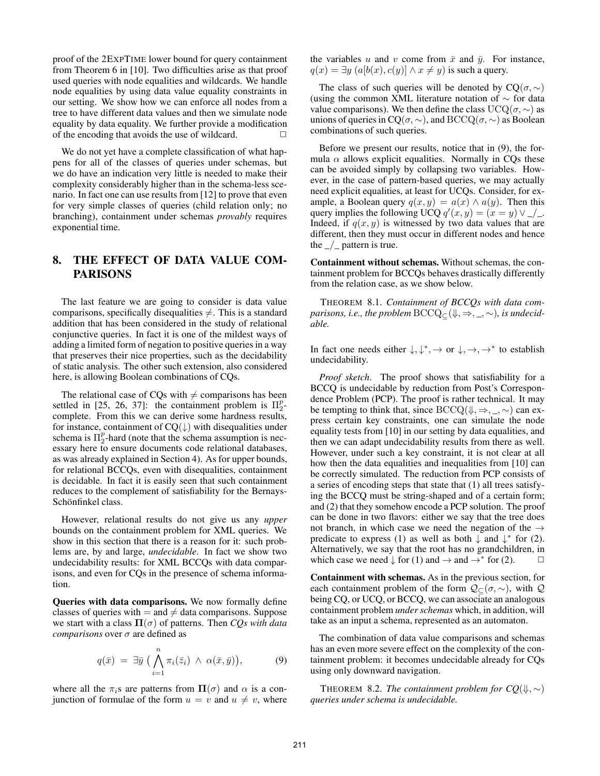proof of the 2EXPTIME lower bound for query containment from Theorem 6 in [10]. Two difficulties arise as that proof used queries with node equalities and wildcards. We handle node equalities by using data value equality constraints in our setting. We show how we can enforce all nodes from a tree to have different data values and then we simulate node equality by data equality. We further provide a modification of the encoding that avoids the use of wildcard.

We do not yet have a complete classification of what happens for all of the classes of queries under schemas, but we do have an indication very little is needed to make their complexity considerably higher than in the schema-less scenario. In fact one can use results from [12] to prove that even for very simple classes of queries (child relation only; no branching), containment under schemas *provably* requires exponential time.

## 8. THE EFFECT OF DATA VALUE COM-PARISONS

The last feature we are going to consider is data value comparisons, specifically disequalities  $\neq$ . This is a standard addition that has been considered in the study of relational conjunctive queries. In fact it is one of the mildest ways of adding a limited form of negation to positive queries in a way that preserves their nice properties, such as the decidability of static analysis. The other such extension, also considered here, is allowing Boolean combinations of CQs.

The relational case of CQs with  $\neq$  comparisons has been settled in [25, 26, 37]: the containment problem is  $\Pi_2^p$ complete. From this we can derive some hardness results, for instance, containment of  $CQ(\downarrow)$  with disequalities under schema is  $\Pi_2^p$ -hard (note that the schema assumption is necessary here to ensure documents code relational databases, as was already explained in Section 4). As for upper bounds, for relational BCCQs, even with disequalities, containment is decidable. In fact it is easily seen that such containment reduces to the complement of satisfiability for the Bernays-Schönfinkel class.

However, relational results do not give us any *upper* bounds on the containment problem for XML queries. We show in this section that there is a reason for it: such problems are, by and large, *undecidable*. In fact we show two undecidability results: for XML BCCQs with data comparisons, and even for CQs in the presence of schema information.

Queries with data comparisons. We now formally define classes of queries with  $=$  and  $\neq$  data comparisons. Suppose we start with a class  $\Pi(\sigma)$  of patterns. Then *CQs with data comparisons* over  $\sigma$  are defined as

$$
q(\bar{x}) = \exists \bar{y} \, \big( \bigwedge_{i=1}^{n} \pi_i(\bar{z}_i) \, \wedge \, \alpha(\bar{x}, \bar{y}) \big), \tag{9}
$$

where all the  $\pi_i$ s are patterns from  $\Pi(\sigma)$  and  $\alpha$  is a conjunction of formulae of the form  $u = v$  and  $u \neq v$ , where the variables u and v come from  $\bar{x}$  and  $\bar{y}$ . For instance,  $q(x) = \exists y \ (a[b(x), c(y)] \land x \neq y)$  is such a query.

The class of such queries will be denoted by  $CQ(\sigma, \sim)$ (using the common XML literature notation of ∼ for data value comparisons). We then define the class  $UCQ(\sigma, \sim)$  as unions of queries in  $CQ(\sigma, \sim)$ , and  $\text{BCCQ}(\sigma, \sim)$  as Boolean combinations of such queries.

Before we present our results, notice that in (9), the formula  $\alpha$  allows explicit equalities. Normally in CQs these can be avoided simply by collapsing two variables. However, in the case of pattern-based queries, we may actually need explicit equalities, at least for UCQs. Consider, for example, a Boolean query  $q(x, y) = a(x) \wedge a(y)$ . Then this query implies the following UCQ  $q'(x, y) = (x = y) \vee \_ \perp$ . Indeed, if  $q(x, y)$  is witnessed by two data values that are different, then they must occur in different nodes and hence the  $\angle$  pattern is true.

Containment without schemas. Without schemas, the containment problem for BCCQs behaves drastically differently from the relation case, as we show below.

THEOREM 8.1. *Containment of BCCQs with data comparisons, i.e., the problem*  $\text{BCCQ}_{\subset}(\downarrow, \Rightarrow, \_, \sim)$ *, is undecidable.*

In fact one needs either  $\downarrow, \downarrow^*, \rightarrow$  or  $\downarrow, \rightarrow, \rightarrow^*$  to establish undecidability.

*Proof sketch*. The proof shows that satisfiability for a BCCQ is undecidable by reduction from Post's Correspondence Problem (PCP). The proof is rather technical. It may be tempting to think that, since  $\text{BCCQ}(\Downarrow, \Rightarrow, \_, \sim)$  can express certain key constraints, one can simulate the node equality tests from [10] in our setting by data equalities, and then we can adapt undecidability results from there as well. However, under such a key constraint, it is not clear at all how then the data equalities and inequalities from [10] can be correctly simulated. The reduction from PCP consists of a series of encoding steps that state that (1) all trees satisfying the BCCQ must be string-shaped and of a certain form; and (2) that they somehow encode a PCP solution. The proof can be done in two flavors: either we say that the tree does not branch, in which case we need the negation of the  $\rightarrow$ predicate to express (1) as well as both  $\downarrow$  and  $\downarrow^*$  for (2). Alternatively, we say that the root has no grandchildren, in which case we need  $\downarrow$  for (1) and  $\rightarrow$  and  $\rightarrow$ <sup>\*</sup> for (2).  $\Box$ 

Containment with schemas. As in the previous section, for each containment problem of the form  $Q_{\subset}(\sigma,\sim)$ , with Q being CQ, or UCQ, or BCCQ, we can associate an analogous containment problem *under schemas* which, in addition, will take as an input a schema, represented as an automaton.

The combination of data value comparisons and schemas has an even more severe effect on the complexity of the containment problem: it becomes undecidable already for CQs using only downward navigation.

THEOREM 8.2. *The containment problem for CQ*( $\Downarrow$ ,  $\sim$ ) *queries under schema is undecidable.*